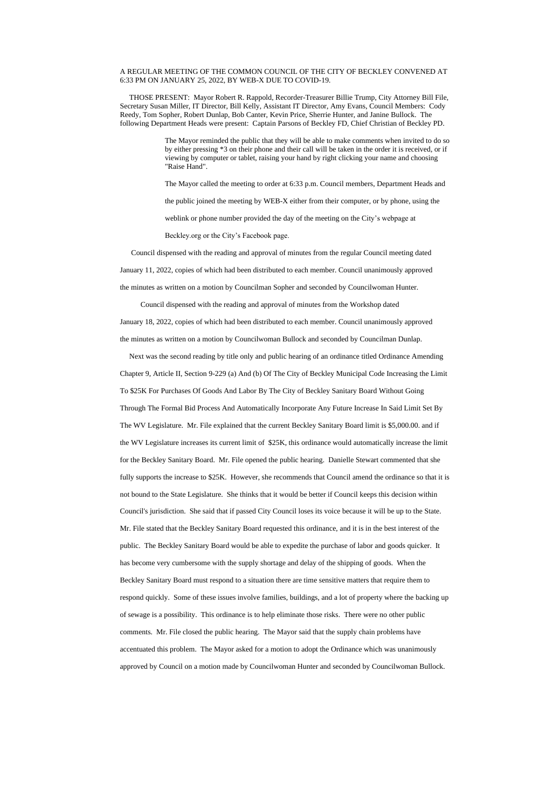## A REGULAR MEETING OF THE COMMON COUNCIL OF THE CITY OF BECKLEY CONVENED AT 6:33 PM ON JANUARY 25, 2022, BY WEB-X DUE TO COVID-19.

 THOSE PRESENT: Mayor Robert R. Rappold, Recorder-Treasurer Billie Trump, City Attorney Bill File, Secretary Susan Miller, IT Director, Bill Kelly, Assistant IT Director, Amy Evans, Council Members: Cody Reedy, Tom Sopher, Robert Dunlap, Bob Canter, Kevin Price, Sherrie Hunter, and Janine Bullock. The following Department Heads were present: Captain Parsons of Beckley FD, Chief Christian of Beckley PD.

> The Mayor reminded the public that they will be able to make comments when invited to do so by either pressing \*3 on their phone and their call will be taken in the order it is received, or if viewing by computer or tablet, raising your hand by right clicking your name and choosing "Raise Hand".

The Mayor called the meeting to order at 6:33 p.m. Council members, Department Heads and the public joined the meeting by WEB-X either from their computer, or by phone, using the weblink or phone number provided the day of the meeting on the City's webpage at

Beckley.org or the City's Facebook page.

 Council dispensed with the reading and approval of minutes from the regular Council meeting dated January 11, 2022, copies of which had been distributed to each member. Council unanimously approved the minutes as written on a motion by Councilman Sopher and seconded by Councilwoman Hunter.

Council dispensed with the reading and approval of minutes from the Workshop dated

January 18, 2022, copies of which had been distributed to each member. Council unanimously approved the minutes as written on a motion by Councilwoman Bullock and seconded by Councilman Dunlap.

 Next was the second reading by title only and public hearing of an ordinance titled Ordinance Amending Chapter 9, Article II, Section 9-229 (a) And (b) Of The City of Beckley Municipal Code Increasing the Limit To \$25K For Purchases Of Goods And Labor By The City of Beckley Sanitary Board Without Going Through The Formal Bid Process And Automatically Incorporate Any Future Increase In Said Limit Set By The WV Legislature. Mr. File explained that the current Beckley Sanitary Board limit is \$5,000.00. and if the WV Legislature increases its current limit of \$25K, this ordinance would automatically increase the limit for the Beckley Sanitary Board. Mr. File opened the public hearing. Danielle Stewart commented that she fully supports the increase to \$25K. However, she recommends that Council amend the ordinance so that it is not bound to the State Legislature. She thinks that it would be better if Council keeps this decision within Council's jurisdiction. She said that if passed City Council loses its voice because it will be up to the State. Mr. File stated that the Beckley Sanitary Board requested this ordinance, and it is in the best interest of the public. The Beckley Sanitary Board would be able to expedite the purchase of labor and goods quicker. It has become very cumbersome with the supply shortage and delay of the shipping of goods. When the Beckley Sanitary Board must respond to a situation there are time sensitive matters that require them to respond quickly. Some of these issues involve families, buildings, and a lot of property where the backing up of sewage is a possibility. This ordinance is to help eliminate those risks. There were no other public comments. Mr. File closed the public hearing. The Mayor said that the supply chain problems have accentuated this problem. The Mayor asked for a motion to adopt the Ordinance which was unanimously approved by Council on a motion made by Councilwoman Hunter and seconded by Councilwoman Bullock.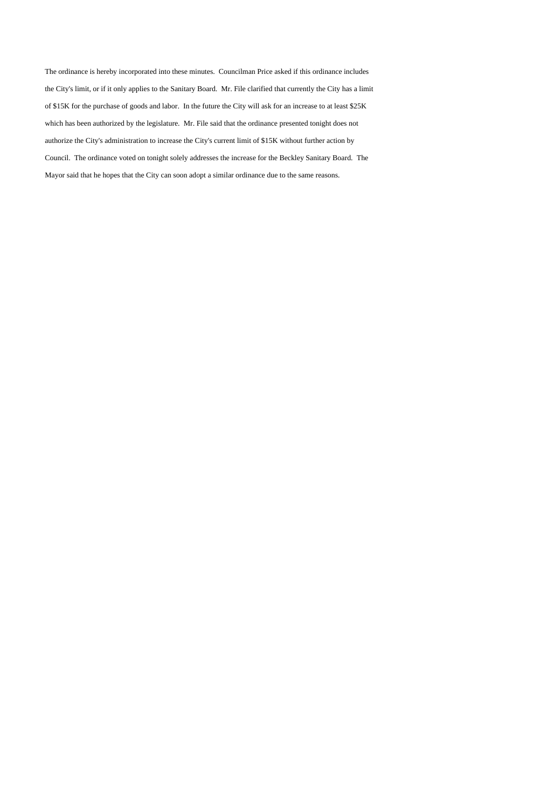The ordinance is hereby incorporated into these minutes. Councilman Price asked if this ordinance includes the City's limit, or if it only applies to the Sanitary Board. Mr. File clarified that currently the City has a limit of \$15K for the purchase of goods and labor. In the future the City will ask for an increase to at least \$25K which has been authorized by the legislature. Mr. File said that the ordinance presented tonight does not authorize the City's administration to increase the City's current limit of \$15K without further action by Council. The ordinance voted on tonight solely addresses the increase for the Beckley Sanitary Board. The Mayor said that he hopes that the City can soon adopt a similar ordinance due to the same reasons.